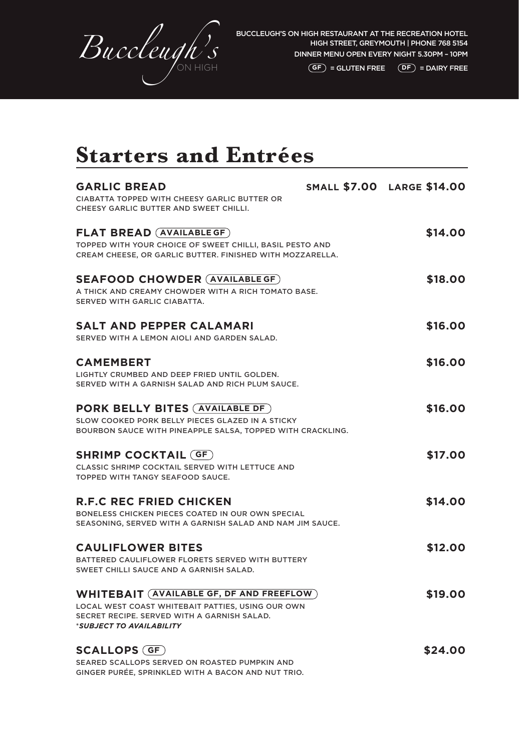

 $\overline{GF}$  = GLUTEN FREE  $\overline{DF}$  = DAIRY FREE

### **Starters and Entrées**

| <b>CIABATTA TOPPED WITH CHEESY GARLIC BUTTER OR</b>                                                 |         |
|-----------------------------------------------------------------------------------------------------|---------|
|                                                                                                     |         |
| CHEESY GARLIC BUTTER AND SWEET CHILLI.                                                              |         |
| <b>FLAT BREAD (AVAILABLE GF)</b>                                                                    | \$14.00 |
| TOPPED WITH YOUR CHOICE OF SWEET CHILLI, BASIL PESTO AND                                            |         |
| CREAM CHEESE, OR GARLIC BUTTER. FINISHED WITH MOZZARELLA.                                           |         |
| <b>SEAFOOD CHOWDER (AVAILABLE GF)</b>                                                               | \$18.00 |
| A THICK AND CREAMY CHOWDER WITH A RICH TOMATO BASE.                                                 |         |
| SERVED WITH GARLIC CIABATTA.                                                                        |         |
| <b>SALT AND PEPPER CALAMARI</b>                                                                     | \$16.00 |
| SERVED WITH A LEMON AIOLI AND GARDEN SALAD.                                                         |         |
| <b>CAMEMBERT</b>                                                                                    | \$16.00 |
| LIGHTLY CRUMBED AND DEEP FRIED UNTIL GOLDEN.                                                        |         |
| SERVED WITH A GARNISH SALAD AND RICH PLUM SAUCE.                                                    |         |
| <b>PORK BELLY BITES (AVAILABLE DF)</b>                                                              | \$16.00 |
| SLOW COOKED PORK BELLY PIECES GLAZED IN A STICKY                                                    |         |
| BOURBON SAUCE WITH PINEAPPLE SALSA, TOPPED WITH CRACKLING.                                          |         |
| <b>SHRIMP COCKTAIL (GF)</b>                                                                         | \$17.00 |
| <b>CLASSIC SHRIMP COCKTAIL SERVED WITH LETTUCE AND</b>                                              |         |
| TOPPED WITH TANGY SEAFOOD SAUCE.                                                                    |         |
| <b>R.F.C REC FRIED CHICKEN</b>                                                                      | \$14.00 |
| BONELESS CHICKEN PIECES COATED IN OUR OWN SPECIAL                                                   |         |
| SEASONING, SERVED WITH A GARNISH SALAD AND NAM JIM SAUCE.                                           |         |
| <b>CAULIFLOWER BITES</b>                                                                            | \$12.00 |
| BATTERED CAULIFLOWER FLORETS SERVED WITH BUTTERY                                                    |         |
| SWEET CHILLI SAUCE AND A GARNISH SALAD.                                                             |         |
| <b>WHITEBAIT (AVAILABLE GF, DF AND FREEFLOW)</b>                                                    | \$19.00 |
| LOCAL WEST COAST WHITEBAIT PATTIES, USING OUR OWN                                                   |         |
| SECRET RECIPE. SERVED WITH A GARNISH SALAD.<br>*SUBJECT TO AVAILABILITY                             |         |
|                                                                                                     |         |
| <b>SCALLOPS (GF)</b>                                                                                | \$24.00 |
| SEARED SCALLOPS SERVED ON ROASTED PUMPKIN AND<br>GINGER PURÉE, SPRINKLED WITH A BACON AND NUT TRIO. |         |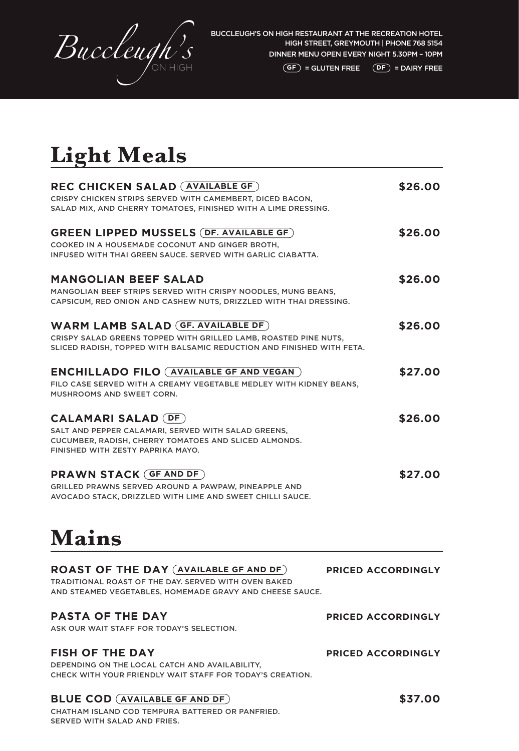

#### $\overline{GF}$  = GLUTEN FREE  $\overline{DF}$  = DAIRY FREE

# **Light Meals**

| REC CHICKEN SALAD (AVAILABLE GF)                                      | \$26.00 |
|-----------------------------------------------------------------------|---------|
| CRISPY CHICKEN STRIPS SERVED WITH CAMEMBERT, DICED BACON,             |         |
| SALAD MIX, AND CHERRY TOMATOES, FINISHED WITH A LIME DRESSING.        |         |
| <b>GREEN LIPPED MUSSELS (DF. AVAILABLE GF)</b>                        | \$26.00 |
| COOKED IN A HOUSEMADE COCONUT AND GINGER BROTH,                       |         |
| INFUSED WITH THAI GREEN SAUCE, SERVED WITH GARLIC CIABATTA.           |         |
| <b>MANGOLIAN BEEF SALAD</b>                                           | \$26.00 |
| MANGOLIAN BEEF STRIPS SERVED WITH CRISPY NOODLES, MUNG BEANS,         |         |
| CAPSICUM, RED ONION AND CASHEW NUTS, DRIZZLED WITH THAI DRESSING.     |         |
| <b>WARM LAMB SALAD (GF. AVAILABLE DF)</b>                             | \$26.00 |
| CRISPY SALAD GREENS TOPPED WITH GRILLED LAMB, ROASTED PINE NUTS,      |         |
| SLICED RADISH, TOPPED WITH BALSAMIC REDUCTION AND FINISHED WITH FETA. |         |
| <b>ENCHILLADO FILO (AVAILABLE GF AND VEGAN)</b>                       | \$27.00 |
| FILO CASE SERVED WITH A CREAMY VEGETABLE MEDLEY WITH KIDNEY BEANS.    |         |
| MUSHROOMS AND SWEET CORN.                                             |         |
| <b>CALAMARI SALAD (DF)</b>                                            | \$26.00 |
| SALT AND PEPPER CALAMARI, SERVED WITH SALAD GREENS,                   |         |
| CUCUMBER, RADISH, CHERRY TOMATOES AND SLICED ALMONDS.                 |         |
| FINISHED WITH ZESTY PAPRIKA MAYO.                                     |         |
| <b>PRAWN STACK (GF AND DF)</b>                                        | \$27.00 |
| GRILLED PRAWNS SERVED AROUND A PAWPAW, PINEAPPLE AND                  |         |
| AVOCADO STACK, DRIZZLED WITH LIME AND SWEET CHILLI SAUCE.             |         |

## **Mains**

#### **ROAST OF THE DAY (AVAILABLE GF AND DF)** PRICED ACCORDINGLY

TRADITIONAL ROAST OF THE DAY. SERVED WITH OVEN BAKED AND STEAMED VEGETABLES, HOMEMADE GRAVY AND CHEESE SAUCE.

### **PASTA OF THE DAY PASTA OF THE DAY**

ASK OUR WAIT STAFF FOR TODAY'S SELECTION.

### **FISH OF THE DAY PRICED ACCORDINGLY**

DEPENDING ON THE LOCAL CATCH AND AVAILABILITY, CHECK WITH YOUR FRIENDLY WAIT STAFF FOR TODAY'S CREATION.

### **BLUE COD** (AVAILABLE GF AND DF)  $$37.00$

CHATHAM ISLAND COD TEMPURA BATTERED OR PANFRIED. SERVED WITH SALAD AND FRIES.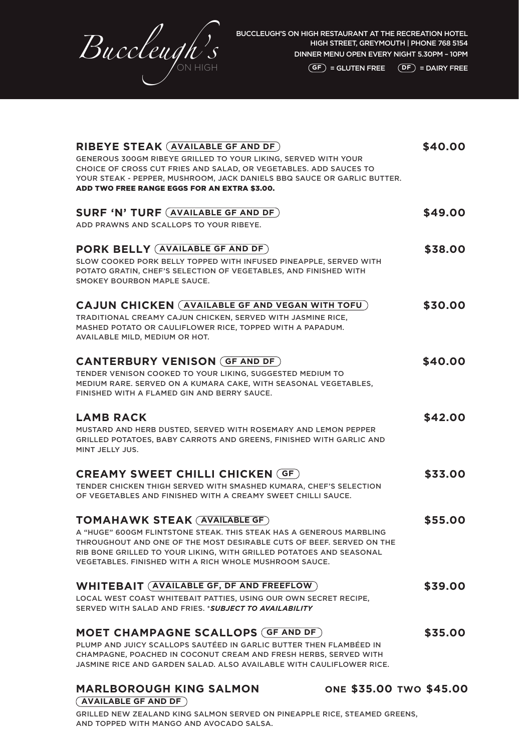

**GF** = GLUTEN FREE **DF** = DAIRY FREE

| <b>RIBEYE STEAK (AVAILABLE GF AND DF)</b>                                                                                | \$40.00 |
|--------------------------------------------------------------------------------------------------------------------------|---------|
| GENEROUS 300GM RIBEYE GRILLED TO YOUR LIKING, SERVED WITH YOUR                                                           |         |
| CHOICE OF CROSS CUT FRIES AND SALAD, OR VEGETABLES. ADD SAUCES TO                                                        |         |
| YOUR STEAK - PEPPER, MUSHROOM, JACK DANIELS BBQ SAUCE OR GARLIC BUTTER.                                                  |         |
| ADD TWO FREE RANGE EGGS FOR AN EXTRA \$3.00.                                                                             |         |
|                                                                                                                          |         |
| <b>SURF 'N' TURF (AVAILABLE GF AND DF)</b>                                                                               | \$49.00 |
| ADD PRAWNS AND SCALLOPS TO YOUR RIBEYE.                                                                                  |         |
|                                                                                                                          |         |
| PORK BELLY (AVAILABLE GF AND DF)                                                                                         | \$38.00 |
| SLOW COOKED PORK BELLY TOPPED WITH INFUSED PINEAPPLE, SERVED WITH                                                        |         |
| POTATO GRATIN, CHEF'S SELECTION OF VEGETABLES, AND FINISHED WITH                                                         |         |
| SMOKEY BOURBON MAPLE SAUCE.                                                                                              |         |
|                                                                                                                          |         |
| <b>CAJUN CHICKEN</b> (AVAILABLE GF AND VEGAN WITH TOFU)                                                                  | \$30.00 |
|                                                                                                                          |         |
| TRADITIONAL CREAMY CAJUN CHICKEN, SERVED WITH JASMINE RICE,<br>MASHED POTATO OR CAULIFLOWER RICE, TOPPED WITH A PAPADUM. |         |
| AVAILABLE MILD, MEDIUM OR HOT.                                                                                           |         |
|                                                                                                                          |         |
| <b>CANTERBURY VENISON (GF AND DF)</b>                                                                                    | \$40.00 |
|                                                                                                                          |         |
| TENDER VENISON COOKED TO YOUR LIKING, SUGGESTED MEDIUM TO                                                                |         |
| MEDIUM RARE. SERVED ON A KUMARA CAKE, WITH SEASONAL VEGETABLES,<br>FINISHED WITH A FLAMED GIN AND BERRY SAUCE.           |         |
|                                                                                                                          |         |
|                                                                                                                          |         |
| <b>LAMB RACK</b>                                                                                                         | \$42.00 |
| MUSTARD AND HERB DUSTED, SERVED WITH ROSEMARY AND LEMON PEPPER                                                           |         |
| GRILLED POTATOES, BABY CARROTS AND GREENS, FINISHED WITH GARLIC AND                                                      |         |
| MINT JELLY JUS.                                                                                                          |         |
|                                                                                                                          |         |
| <b>CREAMY SWEET CHILLI CHICKEN (GF)</b>                                                                                  | \$33.00 |
| TENDER CHICKEN THIGH SERVED WITH SMASHED KUMARA, CHEF'S SELECTION                                                        |         |
| OF VEGETABLES AND FINISHED WITH A CREAMY SWEET CHILLI SAUCE.                                                             |         |
|                                                                                                                          |         |
| <b>TOMAHAWK STEAK (AVAILABLE GF)</b>                                                                                     | \$55.00 |
| A "HUGE" 600GM FLINTSTONE STEAK. THIS STEAK HAS A GENEROUS MARBLING                                                      |         |
| THROUGHOUT AND ONE OF THE MOST DESIRABLE CUTS OF BEEF. SERVED ON THE                                                     |         |
| RIB BONE GRILLED TO YOUR LIKING, WITH GRILLED POTATOES AND SEASONAL                                                      |         |
| VEGETABLES, FINISHED WITH A RICH WHOLE MUSHROOM SAUCE.                                                                   |         |
|                                                                                                                          |         |
| <b>WHITEBAIT (AVAILABLE GF, DF AND FREEFLOW)</b>                                                                         | \$39.00 |
| LOCAL WEST COAST WHITEBAIT PATTIES, USING OUR OWN SECRET RECIPE,                                                         |         |
| SERVED WITH SALAD AND FRIES, *SUBJECT TO AVAILABILITY                                                                    |         |
|                                                                                                                          |         |
| <b>MOET CHAMPAGNE SCALLOPS (GF AND DF)</b>                                                                               | \$35.00 |
| PLUMP AND JUICY SCALLOPS SAUTÉED IN GARLIC BUTTER THEN FLAMBÉED IN                                                       |         |
| CHAMPAGNE, POACHED IN COCONUT CREAM AND FRESH HERBS, SERVED WITH                                                         |         |
| JASMINE RICE AND GARDEN SALAD. ALSO AVAILABLE WITH CAULIFLOWER RICE.                                                     |         |
|                                                                                                                          |         |

**MARLBOROUGH KING SALMON ONE \$35.00 TWO \$45.00 AVAILABLE GF AND DF**

GRILLED NEW ZEALAND KING SALMON SERVED ON PINEAPPLE RICE, STEAMED GREENS, AND TOPPED WITH MANGO AND AVOCADO SALSA.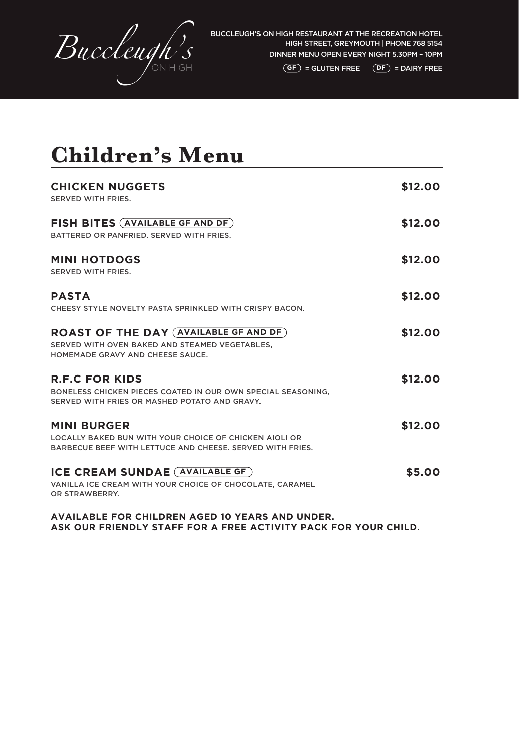

### **Children's Menu**

| <b>CHICKEN NUGGETS</b><br>SERVED WITH FRIES.                                                                                              | \$12.00 |
|-------------------------------------------------------------------------------------------------------------------------------------------|---------|
| FISH BITES (AVAILABLE GF AND DF)<br>BATTERED OR PANFRIED. SERVED WITH FRIES.                                                              | \$12.00 |
| <b>MINI HOTDOGS</b><br>SERVED WITH FRIES.                                                                                                 | \$12.00 |
| <b>PASTA</b><br>CHEESY STYLE NOVELTY PASTA SPRINKLED WITH CRISPY BACON.                                                                   | \$12.00 |
| <b>ROAST OF THE DAY (AVAILABLE GF AND DF)</b><br>SERVED WITH OVEN BAKED AND STEAMED VEGETABLES.<br>HOMEMADE GRAVY AND CHEESE SAUCE.       | \$12.00 |
| <b>R.F.C FOR KIDS</b><br>BONELESS CHICKEN PIECES COATED IN OUR OWN SPECIAL SEASONING,<br>SERVED WITH FRIES OR MASHED POTATO AND GRAVY.    | \$12.00 |
| <b>MINI BURGER</b><br>LOCALLY BAKED BUN WITH YOUR CHOICE OF CHICKEN AIOLI OR<br>BARBECUE BEEF WITH LETTUCE AND CHEESE. SERVED WITH FRIES. | \$12.00 |
| <b>ICE CREAM SUNDAE (AVAILABLE GF)</b><br>VANILLA ICE CREAM WITH YOUR CHOICE OF CHOCOLATE, CARAMEL<br>OR STRAWBERRY.                      | \$5.00  |

**AVAILABLE FOR CHILDREN AGED 10 YEARS AND UNDER. ASK OUR FRIENDLY STAFF FOR A FREE ACTIVITY PACK FOR YOUR CHILD.**